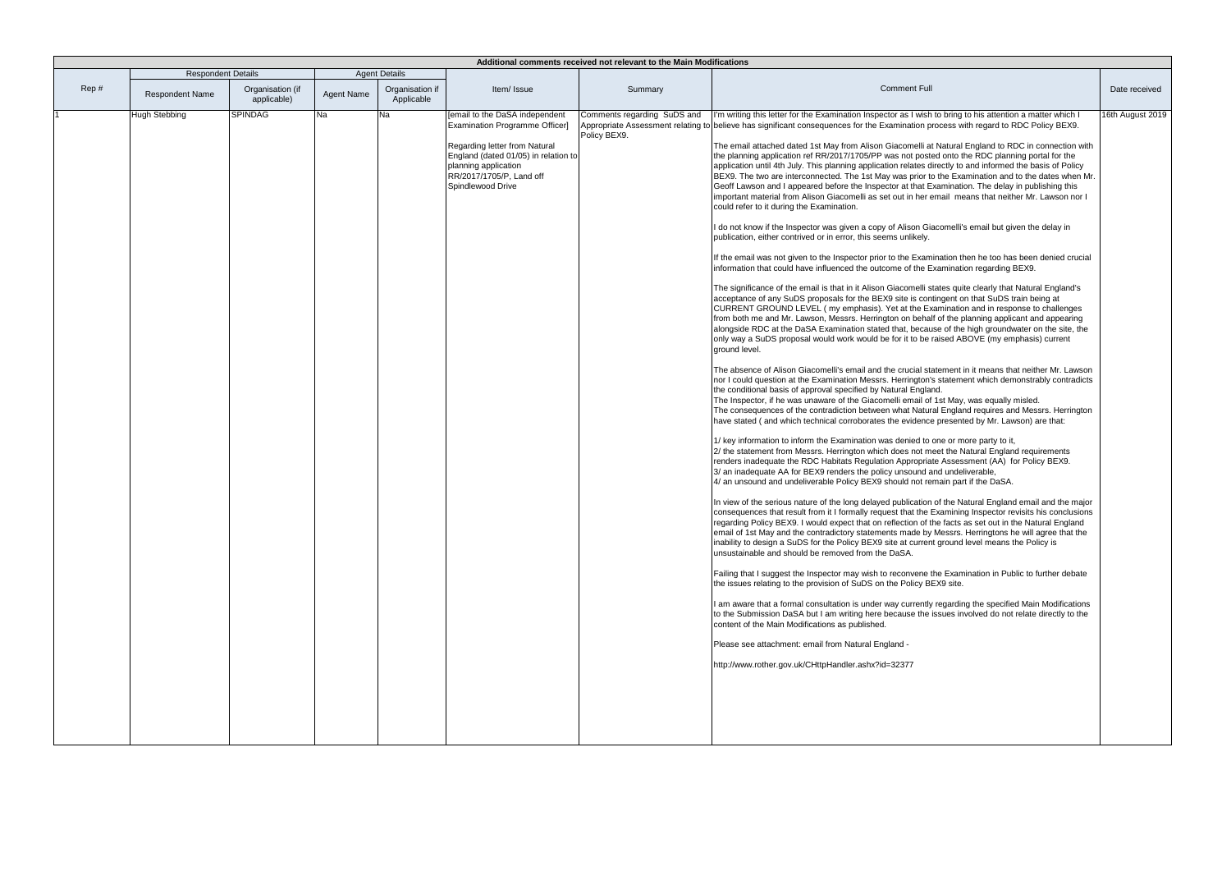| Additional comments received not relevant to the Main Modifications |                           |                                 |            |                               |                                                                                                                                                                                                                    |                                             |                                                                                                                                                                                                                                                                                                                                                                                                                                                                                                                                                                                                                                                                                                                                                                                                                                                                                                                                                                                                                                                                                                                                                                                                                                                                                                                                                                                                                                                                                                                                                                                                                                                                                                                                                                                                                                                                                                                                                                                                                                                                                                                                                                                                                                                                                                                                                                                                                                                                                                                                                                                                                                                                                                                                                                                                                                                                                                                                                                                                                                                                                                                                                                                                                                                                                                                                                                                                                                                                                                                                                                                                                                                                                                                                                                                                                                                                                                                                                                                                                                                                                                                                                                                                     |                  |
|---------------------------------------------------------------------|---------------------------|---------------------------------|------------|-------------------------------|--------------------------------------------------------------------------------------------------------------------------------------------------------------------------------------------------------------------|---------------------------------------------|-----------------------------------------------------------------------------------------------------------------------------------------------------------------------------------------------------------------------------------------------------------------------------------------------------------------------------------------------------------------------------------------------------------------------------------------------------------------------------------------------------------------------------------------------------------------------------------------------------------------------------------------------------------------------------------------------------------------------------------------------------------------------------------------------------------------------------------------------------------------------------------------------------------------------------------------------------------------------------------------------------------------------------------------------------------------------------------------------------------------------------------------------------------------------------------------------------------------------------------------------------------------------------------------------------------------------------------------------------------------------------------------------------------------------------------------------------------------------------------------------------------------------------------------------------------------------------------------------------------------------------------------------------------------------------------------------------------------------------------------------------------------------------------------------------------------------------------------------------------------------------------------------------------------------------------------------------------------------------------------------------------------------------------------------------------------------------------------------------------------------------------------------------------------------------------------------------------------------------------------------------------------------------------------------------------------------------------------------------------------------------------------------------------------------------------------------------------------------------------------------------------------------------------------------------------------------------------------------------------------------------------------------------------------------------------------------------------------------------------------------------------------------------------------------------------------------------------------------------------------------------------------------------------------------------------------------------------------------------------------------------------------------------------------------------------------------------------------------------------------------------------------------------------------------------------------------------------------------------------------------------------------------------------------------------------------------------------------------------------------------------------------------------------------------------------------------------------------------------------------------------------------------------------------------------------------------------------------------------------------------------------------------------------------------------------------------------------------------------------------------------------------------------------------------------------------------------------------------------------------------------------------------------------------------------------------------------------------------------------------------------------------------------------------------------------------------------------------------------------------------------------------------------------------------------------------------------|------------------|
|                                                                     | <b>Respondent Details</b> |                                 |            | <b>Agent Details</b>          |                                                                                                                                                                                                                    |                                             |                                                                                                                                                                                                                                                                                                                                                                                                                                                                                                                                                                                                                                                                                                                                                                                                                                                                                                                                                                                                                                                                                                                                                                                                                                                                                                                                                                                                                                                                                                                                                                                                                                                                                                                                                                                                                                                                                                                                                                                                                                                                                                                                                                                                                                                                                                                                                                                                                                                                                                                                                                                                                                                                                                                                                                                                                                                                                                                                                                                                                                                                                                                                                                                                                                                                                                                                                                                                                                                                                                                                                                                                                                                                                                                                                                                                                                                                                                                                                                                                                                                                                                                                                                                                     |                  |
| Rep#                                                                | <b>Respondent Name</b>    | Organisation (if<br>applicable) | Agent Name | Organisation if<br>Applicable | Item/ Issue                                                                                                                                                                                                        | Summary                                     | <b>Comment Full</b>                                                                                                                                                                                                                                                                                                                                                                                                                                                                                                                                                                                                                                                                                                                                                                                                                                                                                                                                                                                                                                                                                                                                                                                                                                                                                                                                                                                                                                                                                                                                                                                                                                                                                                                                                                                                                                                                                                                                                                                                                                                                                                                                                                                                                                                                                                                                                                                                                                                                                                                                                                                                                                                                                                                                                                                                                                                                                                                                                                                                                                                                                                                                                                                                                                                                                                                                                                                                                                                                                                                                                                                                                                                                                                                                                                                                                                                                                                                                                                                                                                                                                                                                                                                 | Date received    |
|                                                                     | Hugh Stebbing             | <b>SPINDAG</b>                  | Na         | Na                            | Femail to the DaSA independent<br>Examination Programme Officer]<br>Regarding letter from Natural<br>England (dated 01/05) in relation to<br>planning application<br>RR/2017/1705/P, Land off<br>Spindlewood Drive | Comments regarding SuDS and<br>Policy BEX9. | I'm writing this letter for the Examination Inspector as I wish to bring to his attention a matter which I<br>Appropriate Assessment relating to believe has significant consequences for the Examination process with regard to RDC Policy BEX9.<br>The email attached dated 1st May from Alison Giacomelli at Natural England to RDC in connection with<br>the planning application ref RR/2017/1705/PP was not posted onto the RDC planning portal for the<br>application until 4th July. This planning application relates directly to and informed the basis of Policy<br>BEX9. The two are interconnected. The 1st May was prior to the Examination and to the dates when Mr.<br>Geoff Lawson and I appeared before the Inspector at that Examination. The delay in publishing this<br>important material from Alison Giacomelli as set out in her email means that neither Mr. Lawson nor I<br>could refer to it during the Examination.<br>I do not know if the Inspector was given a copy of Alison Giacomelli's email but given the delay in<br>publication, either contrived or in error, this seems unlikely.<br>If the email was not given to the Inspector prior to the Examination then he too has been denied crucial<br>information that could have influenced the outcome of the Examination regarding BEX9.<br>The significance of the email is that in it Alison Giacomelli states quite clearly that Natural England's<br>acceptance of any SuDS proposals for the BEX9 site is contingent on that SuDS train being at<br>CURRENT GROUND LEVEL (my emphasis). Yet at the Examination and in response to challenges<br>from both me and Mr. Lawson, Messrs. Herrington on behalf of the planning applicant and appearing<br>alongside RDC at the DaSA Examination stated that, because of the high groundwater on the site, the<br>only way a SuDS proposal would work would be for it to be raised ABOVE (my emphasis) current<br>around level.<br>The absence of Alison Giacomelli's email and the crucial statement in it means that neither Mr. Lawson<br>nor I could question at the Examination Messrs. Herrington's statement which demonstrably contradicts<br>the conditional basis of approval specified by Natural England.<br>The Inspector, if he was unaware of the Giacomelli email of 1st May, was equally misled.<br>The consequences of the contradiction between what Natural England requires and Messrs. Herrington<br>have stated (and which technical corroborates the evidence presented by Mr. Lawson) are that:<br>1/ key information to inform the Examination was denied to one or more party to it,<br>2/ the statement from Messrs. Herrington which does not meet the Natural England requirements<br>renders inadequate the RDC Habitats Regulation Appropriate Assessment (AA) for Policy BEX9.<br>3/ an inadequate AA for BEX9 renders the policy unsound and undeliverable,<br>4/ an unsound and undeliverable Policy BEX9 should not remain part if the DaSA.<br>In view of the serious nature of the long delayed publication of the Natural England email and the major<br>consequences that result from it I formally request that the Examining Inspector revisits his conclusions<br>regarding Policy BEX9. I would expect that on reflection of the facts as set out in the Natural England<br>email of 1st May and the contradictory statements made by Messrs. Herringtons he will agree that the<br>inability to design a SuDS for the Policy BEX9 site at current ground level means the Policy is<br>unsustainable and should be removed from the DaSA.<br>Failing that I suggest the Inspector may wish to reconvene the Examination in Public to further debate<br>the issues relating to the provision of SuDS on the Policy BEX9 site.<br>I am aware that a formal consultation is under way currently regarding the specified Main Modifications<br>to the Submission DaSA but I am writing here because the issues involved do not relate directly to the<br>content of the Main Modifications as published.<br>Please see attachment: email from Natural England -<br>http://www.rother.gov.uk/CHttpHandler.ashx?id=32377 | 16th August 2019 |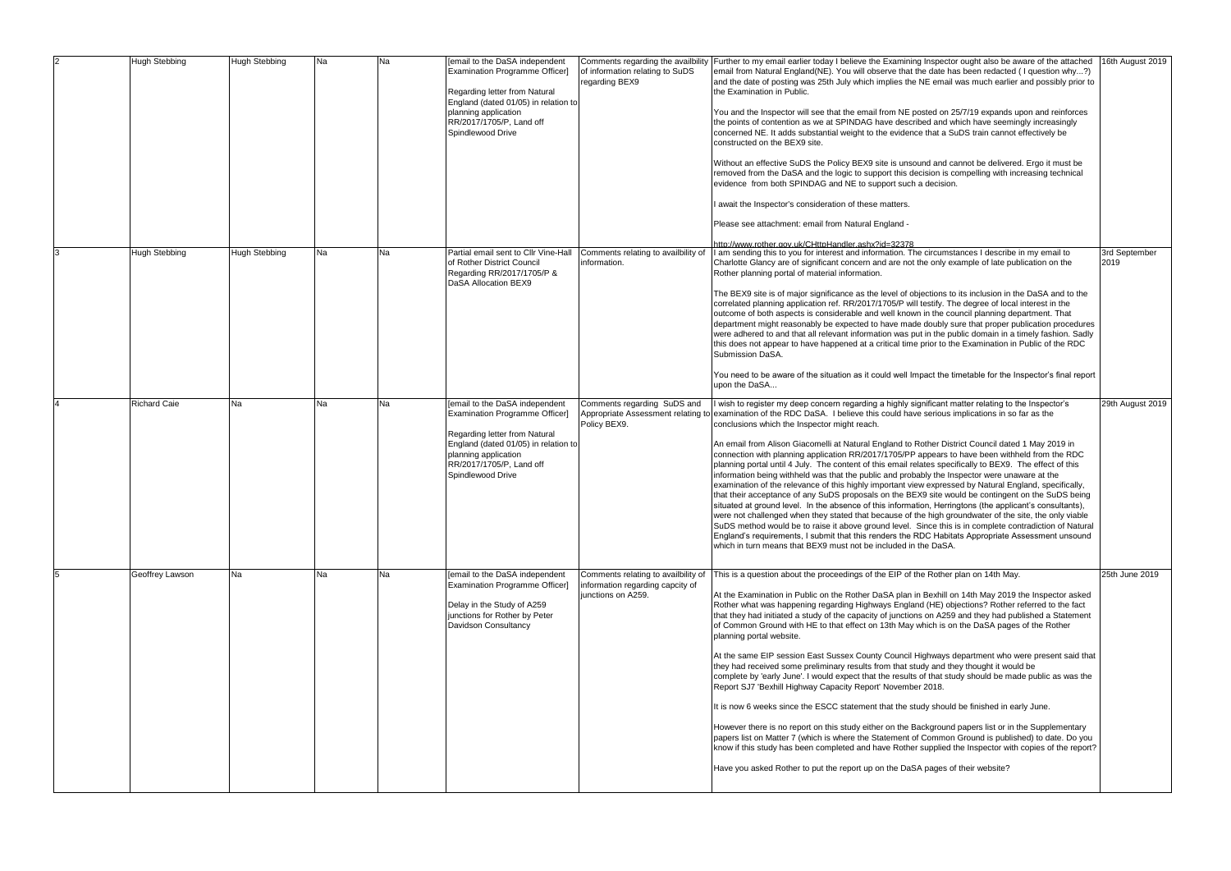|   | <b>Hugh Stebbing</b> | <b>Hugh Stebbing</b> | Na        | Na        | [email to the DaSA independent<br>Examination Programme Officer]<br>Regarding letter from Natural<br>England (dated 01/05) in relation to<br>planning application<br>RR/2017/1705/P, Land off<br>Spindlewood Drive | of information relating to SuDS<br>regarding BEX9                                             | Comments regarding the availbility Further to my email earlier today I believe the Examining Inspector ought also be aware of the attached<br>email from Natural England(NE). You will observe that the date has been redacted (I question why?)<br>and the date of posting was 25th July which implies the NE email was much earlier and possibly prior to<br>the Examination in Public.<br>You and the Inspector will see that the email from NE posted on 25/7/19 expands upon and reinforces<br>the points of contention as we at SPINDAG have described and which have seemingly increasingly<br>concerned NE. It adds substantial weight to the evidence that a SuDS train cannot effectively be<br>constructed on the BEX9 site.<br>Without an effective SuDS the Policy BEX9 site is unsound and cannot be delivered. Ergo it must be<br>removed from the DaSA and the logic to support this decision is compelling with increasing technical<br>evidence from both SPINDAG and NE to support such a decision.<br>I await the Inspector's consideration of these matters.<br>Please see attachment: email from Natural England -                                                                                                                                                                                                                                                                                        | 16th August 2019      |
|---|----------------------|----------------------|-----------|-----------|--------------------------------------------------------------------------------------------------------------------------------------------------------------------------------------------------------------------|-----------------------------------------------------------------------------------------------|---------------------------------------------------------------------------------------------------------------------------------------------------------------------------------------------------------------------------------------------------------------------------------------------------------------------------------------------------------------------------------------------------------------------------------------------------------------------------------------------------------------------------------------------------------------------------------------------------------------------------------------------------------------------------------------------------------------------------------------------------------------------------------------------------------------------------------------------------------------------------------------------------------------------------------------------------------------------------------------------------------------------------------------------------------------------------------------------------------------------------------------------------------------------------------------------------------------------------------------------------------------------------------------------------------------------------------------------------------------------------------------------------------------------------------|-----------------------|
|   | Hugh Stebbing        | <b>Hugh Stebbing</b> | Na        | Na        | Partial email sent to Cllr Vine-Hall<br>of Rother District Council<br>Regarding RR/2017/1705/P &<br>DaSA Allocation BEX9                                                                                           | Comments relating to availbility of<br>information.                                           | http://www.rother.gov.uk/CHttpHandler.ashx?id=32378<br>I am sending this to you for interest and information. The circumstances I describe in my email to<br>Charlotte Glancy are of significant concern and are not the only example of late publication on the<br>Rother planning portal of material information.<br>The BEX9 site is of major significance as the level of objections to its inclusion in the DaSA and to the<br>correlated planning application ref. RR/2017/1705/P will testify. The degree of local interest in the<br>outcome of both aspects is considerable and well known in the council planning department. That<br>department might reasonably be expected to have made doubly sure that proper publication procedures<br>were adhered to and that all relevant information was put in the public domain in a timely fashion. Sadly<br>this does not appear to have happened at a critical time prior to the Examination in Public of the RDC<br>Submission DaSA.<br>You need to be aware of the situation as it could well Impact the timetable for the Inspector's final report<br>upon the DaSA                                                                                                                                                                                                                                                                                                 | 3rd September<br>2019 |
|   | <b>Richard Caie</b>  | <b>Na</b>            | <b>Na</b> | <b>Na</b> | [email to the DaSA independent<br>Examination Programme Officer]<br>Regarding letter from Natural<br>England (dated 01/05) in relation to<br>planning application<br>RR/2017/1705/P, Land off<br>Spindlewood Drive | Comments regarding SuDS and<br>Appropriate Assessment relating to<br>Policy BEX9.             | I wish to register my deep concern regarding a highly significant matter relating to the Inspector's<br>examination of the RDC DaSA. I believe this could have serious implications in so far as the<br>conclusions which the Inspector might reach.<br>An email from Alison Giacomelli at Natural England to Rother District Council dated 1 May 2019 in<br>connection with planning application RR/2017/1705/PP appears to have been withheld from the RDC<br>planning portal until 4 July. The content of this email relates specifically to BEX9. The effect of this<br>information being withheld was that the public and probably the Inspector were unaware at the<br>examination of the relevance of this highly important view expressed by Natural England, specifically,<br>that their acceptance of any SuDS proposals on the BEX9 site would be contingent on the SuDS being<br>situated at ground level. In the absence of this information, Herringtons (the applicant's consultants),<br>were not challenged when they stated that because of the high groundwater of the site, the only viable<br>SuDS method would be to raise it above ground level. Since this is in complete contradiction of Natural<br>England's requirements, I submit that this renders the RDC Habitats Appropriate Assessment unsound<br>which in turn means that BEX9 must not be included in the DaSA.                             | 29th August 2019      |
| 5 | Geoffrey Lawson      | <b>Na</b>            | Na        | Na        | [email to the DaSA independent<br>Examination Programme Officer]<br>Delay in the Study of A259<br>junctions for Rother by Peter<br>Davidson Consultancy                                                            | Comments relating to availbility of<br>information regarding capcity of<br>junctions on A259. | This is a question about the proceedings of the EIP of the Rother plan on 14th May.<br>At the Examination in Public on the Rother DaSA plan in Bexhill on 14th May 2019 the Inspector asked<br>Rother what was happening regarding Highways England (HE) objections? Rother referred to the fact<br>that they had initiated a study of the capacity of junctions on A259 and they had published a Statement<br>of Common Ground with HE to that effect on 13th May which is on the DaSA pages of the Rother<br>planning portal website.<br>At the same EIP session East Sussex County Council Highways department who were present said that<br>they had received some preliminary results from that study and they thought it would be<br>complete by 'early June'. I would expect that the results of that study should be made public as was the<br>Report SJ7 'Bexhill Highway Capacity Report' November 2018.<br>It is now 6 weeks since the ESCC statement that the study should be finished in early June.<br>However there is no report on this study either on the Background papers list or in the Supplementary<br>papers list on Matter 7 (which is where the Statement of Common Ground is published) to date. Do you<br>know if this study has been completed and have Rother supplied the Inspector with copies of the report?<br>Have you asked Rother to put the report up on the DaSA pages of their website? | 25th June 2019        |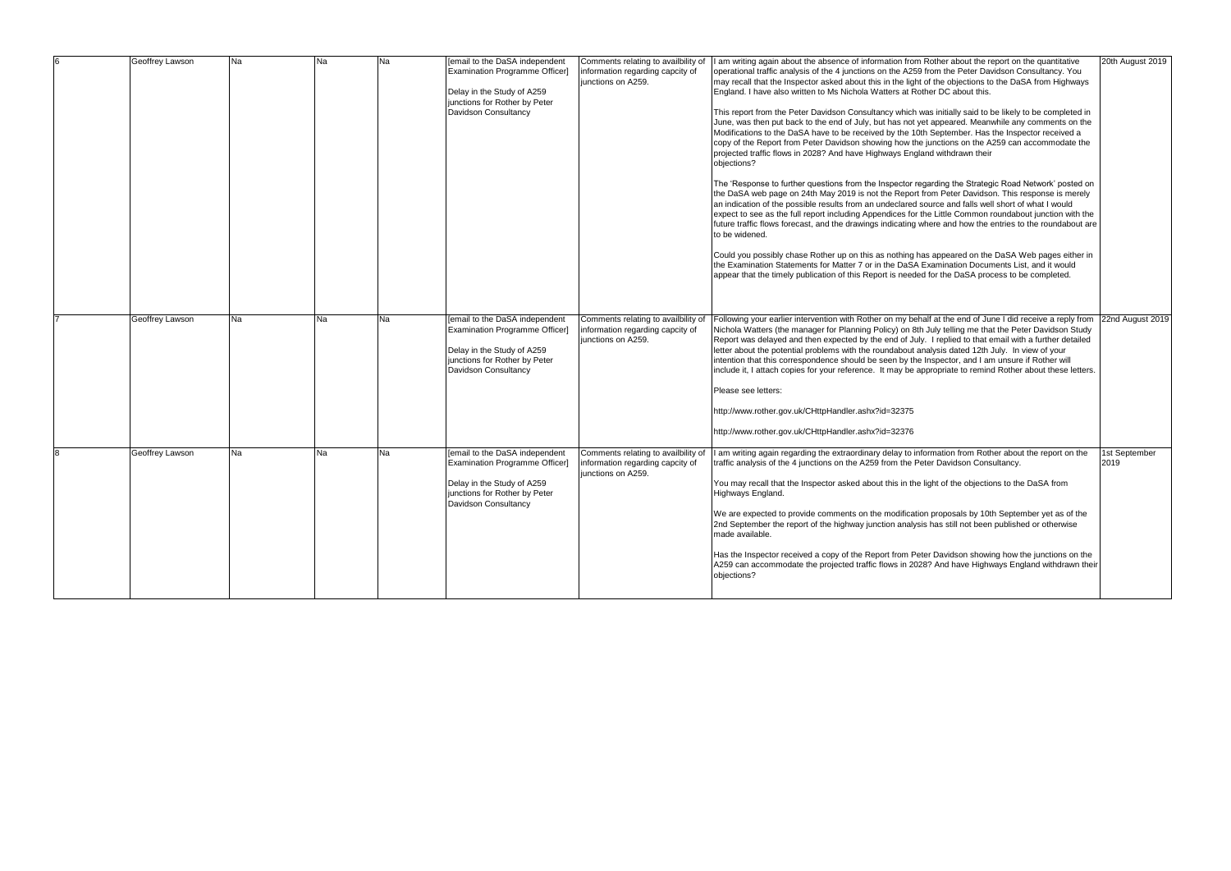| Geoffrey Lawson | <b>Na</b> | Na | Na | [email to the DaSA independent<br>Examination Programme Officer]<br>Delay in the Study of A259<br>junctions for Rother by Peter<br>Davidson Consultancy | Comments relating to availbility of<br>information regarding capcity of<br>junctions on A259. | I am writing again about the absence of information from Rother about the report on the quantitative<br>operational traffic analysis of the 4 junctions on the A259 from the Peter Davidson Consultancy. You<br>may recall that the Inspector asked about this in the light of the objections to the DaSA from Highways<br>England. I have also written to Ms Nichola Watters at Rother DC about this.<br>This report from the Peter Davidson Consultancy which was initially said to be likely to be completed in<br>June, was then put back to the end of July, but has not yet appeared. Meanwhile any comments on the<br>Modifications to the DaSA have to be received by the 10th September. Has the Inspector received a<br>copy of the Report from Peter Davidson showing how the junctions on the A259 can accommodate the<br>projected traffic flows in 2028? And have Highways England withdrawn their<br>objections?<br>The 'Response to further questions from the Inspector regarding the Strategic Road Network' posted on<br>the DaSA web page on 24th May 2019 is not the Report from Peter Davidson. This response is merely<br>an indication of the possible results from an undeclared source and falls well short of what I would<br>expect to see as the full report including Appendices for the Little Common roundabout junction with the<br>future traffic flows forecast, and the drawings indicating where and how the entries to the roundabout are<br>to be widened.<br>Could you possibly chase Rother up on this as nothing has appeared on the DaSA Web pages either in<br>the Examination Statements for Matter 7 or in the DaSA Examination Documents List, and it would<br>appear that the timely publication of this Report is needed for the DaSA process to be completed. | 20th August 2019      |
|-----------------|-----------|----|----|---------------------------------------------------------------------------------------------------------------------------------------------------------|-----------------------------------------------------------------------------------------------|-----------------------------------------------------------------------------------------------------------------------------------------------------------------------------------------------------------------------------------------------------------------------------------------------------------------------------------------------------------------------------------------------------------------------------------------------------------------------------------------------------------------------------------------------------------------------------------------------------------------------------------------------------------------------------------------------------------------------------------------------------------------------------------------------------------------------------------------------------------------------------------------------------------------------------------------------------------------------------------------------------------------------------------------------------------------------------------------------------------------------------------------------------------------------------------------------------------------------------------------------------------------------------------------------------------------------------------------------------------------------------------------------------------------------------------------------------------------------------------------------------------------------------------------------------------------------------------------------------------------------------------------------------------------------------------------------------------------------------------------------------------------------------------------------------------------|-----------------------|
| Geoffrey Lawson | <b>Na</b> | Na | Na | [email to the DaSA independent<br>Examination Programme Officer]<br>Delay in the Study of A259<br>junctions for Rother by Peter<br>Davidson Consultancy | Comments relating to availbility of<br>information regarding capcity of<br>junctions on A259. | Following your earlier intervention with Rother on my behalf at the end of June I did receive a reply from 22nd August 2019<br>Nichola Watters (the manager for Planning Policy) on 8th July telling me that the Peter Davidson Study<br>Report was delayed and then expected by the end of July. I replied to that email with a further detailed<br>letter about the potential problems with the roundabout analysis dated 12th July. In view of your<br>intention that this correspondence should be seen by the Inspector, and I am unsure if Rother will<br>include it, I attach copies for your reference. It may be appropriate to remind Rother about these letters.<br>Please see letters:<br>http://www.rother.gov.uk/CHttpHandler.ashx?id=32375<br>http://www.rother.gov.uk/CHttpHandler.ashx?id=32376                                                                                                                                                                                                                                                                                                                                                                                                                                                                                                                                                                                                                                                                                                                                                                                                                                                                                                                                                                                                |                       |
| Geoffrey Lawson | <b>Na</b> | Na | Na | [email to the DaSA independent<br>Examination Programme Officer]<br>Delay in the Study of A259<br>junctions for Rother by Peter<br>Davidson Consultancy | Comments relating to availbility of<br>information regarding capcity of<br>junctions on A259. | I am writing again regarding the extraordinary delay to information from Rother about the report on the<br>traffic analysis of the 4 junctions on the A259 from the Peter Davidson Consultancy.<br>You may recall that the Inspector asked about this in the light of the objections to the DaSA from<br>Highways England.<br>We are expected to provide comments on the modification proposals by 10th September yet as of the<br>2nd September the report of the highway junction analysis has still not been published or otherwise<br>made available.<br>Has the Inspector received a copy of the Report from Peter Davidson showing how the junctions on the<br>A259 can accommodate the projected traffic flows in 2028? And have Highways England withdrawn their<br>objections?                                                                                                                                                                                                                                                                                                                                                                                                                                                                                                                                                                                                                                                                                                                                                                                                                                                                                                                                                                                                                         | 1st September<br>2019 |